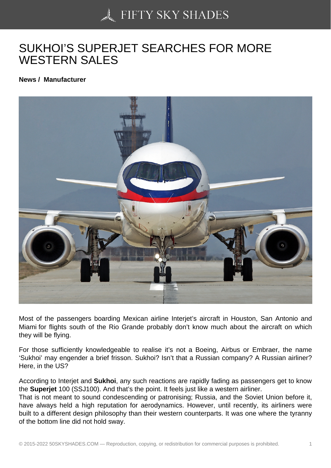## [SUKHOI'S SUPERJET](https://50skyshades.com) SEARCHES FOR MORE WESTERN SALES

News / Manufacturer

Most of the passengers boarding Mexican airline Interjet's aircraft in Houston, San Antonio and Miami for flights south of the Rio Grande probably don't know much about the aircraft on which they will be flying.

For those sufficiently knowledgeable to realise it's not a Boeing, Airbus or Embraer, the name 'Sukhoi' may engender a brief frisson. Sukhoi? Isn't that a Russian company? A Russian airliner? Here, in the US?

According to Interjet and Sukhoi , any such reactions are rapidly fading as passengers get to know the Superjet 100 (SSJ100). And that's the point. It feels just like a western airliner.

That is not meant to sound condescending or patronising; Russia, and the Soviet Union before it, have always held a high reputation for aerodynamics. However, until recently, its airliners were built to a different design philosophy than their western counterparts. It was one where the tyranny of the bottom line did not hold sway.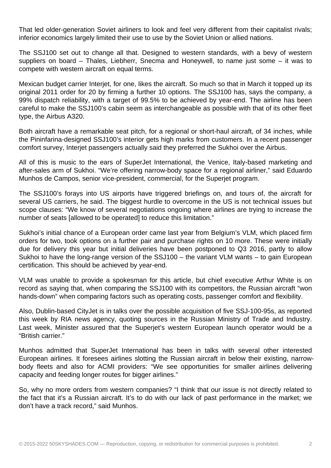That led older-generation Soviet airliners to look and feel very different from their capitalist rivals; inferior economics largely limited their use to use by the Soviet Union or allied nations.

The SSJ100 set out to change all that. Designed to western standards, with a bevy of western suppliers on board – Thales, Liebherr, Snecma and Honeywell, to name just some – it was to compete with western aircraft on equal terms.

Mexican budget carrier Interjet, for one, likes the aircraft. So much so that in March it topped up its original 2011 order for 20 by firming a further 10 options. The SSJ100 has, says the company, a 99% dispatch reliability, with a target of 99.5% to be achieved by year-end. The airline has been careful to make the SSJ100's cabin seem as interchangeable as possible with that of its other fleet type, the Airbus A320.

Both aircraft have a remarkable seat pitch, for a regional or short-haul aircraft, of 34 inches, while the Pininfarina-designed SSJ100's interior gets high marks from customers. In a recent passenger comfort survey, Interjet passengers actually said they preferred the Sukhoi over the Airbus.

All of this is music to the ears of SuperJet International, the Venice, Italy-based marketing and after-sales arm of Sukhoi. "We're offering narrow-body space for a regional airliner," said Eduardo Munhos de Campos, senior vice-president, commercial, for the Superjet program.

The SSJ100's forays into US airports have triggered briefings on, and tours of, the aircraft for several US carriers, he said. The biggest hurdle to overcome in the US is not technical issues but scope clauses: "We know of several negotiations ongoing where airlines are trying to increase the number of seats [allowed to be operated] to reduce this limitation."

Sukhoi's initial chance of a European order came last year from Belgium's VLM, which placed firm orders for two, took options on a further pair and purchase rights on 10 more. These were initially due for delivery this year but initial deliveries have been postponed to Q3 2016, partly to allow Sukhoi to have the long-range version of the SSJ100 – the variant VLM wants – to gain European certification. This should be achieved by year-end.

VLM was unable to provide a spokesman for this article, but chief executive Arthur White is on record as saying that, when comparing the SSJ100 with its competitors, the Russian aircraft "won hands-down" when comparing factors such as operating costs, passenger comfort and flexibility.

Also, Dublin-based CityJet is in talks over the possible acquisition of five SSJ-100-95s, as reported this week by RIA news agency, quoting sources in the Russian Ministry of Trade and Industry. Last week, Minister assured that the Superjet's western European launch operator would be a "British carrier."

Munhos admitted that SuperJet International has been in talks with several other interested European airlines. It foresees airlines slotting the Russian aircraft in below their existing, narrowbody fleets and also for ACMI providers: "We see opportunities for smaller airlines delivering capacity and feeding longer routes for bigger airlines."

So, why no more orders from western companies? "I think that our issue is not directly related to the fact that it's a Russian aircraft. It's to do with our lack of past performance in the market; we don't have a track record," said Munhos.